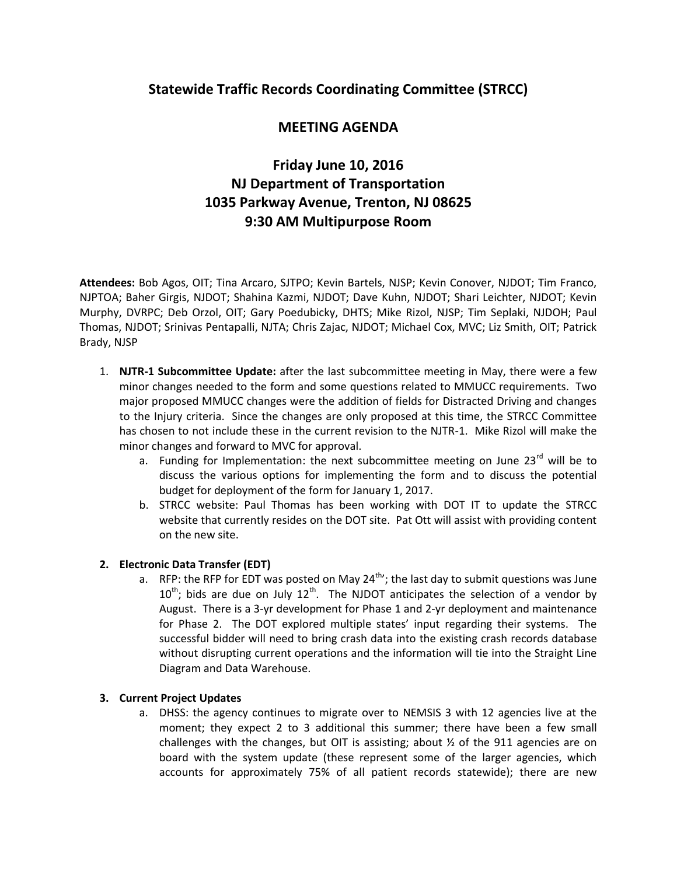## **Statewide Traffic Records Coordinating Committee (STRCC)**

# **MEETING AGENDA**

# **Friday June 10, 2016 NJ Department of Transportation 1035 Parkway Avenue, Trenton, NJ 08625 9:30 AM Multipurpose Room**

**Attendees:** Bob Agos, OIT; Tina Arcaro, SJTPO; Kevin Bartels, NJSP; Kevin Conover, NJDOT; Tim Franco, NJPTOA; Baher Girgis, NJDOT; Shahina Kazmi, NJDOT; Dave Kuhn, NJDOT; Shari Leichter, NJDOT; Kevin Murphy, DVRPC; Deb Orzol, OIT; Gary Poedubicky, DHTS; Mike Rizol, NJSP; Tim Seplaki, NJDOH; Paul Thomas, NJDOT; Srinivas Pentapalli, NJTA; Chris Zajac, NJDOT; Michael Cox, MVC; Liz Smith, OIT; Patrick Brady, NJSP

- 1. **NJTR-1 Subcommittee Update:** after the last subcommittee meeting in May, there were a few minor changes needed to the form and some questions related to MMUCC requirements. Two major proposed MMUCC changes were the addition of fields for Distracted Driving and changes to the Injury criteria. Since the changes are only proposed at this time, the STRCC Committee has chosen to not include these in the current revision to the NJTR-1. Mike Rizol will make the minor changes and forward to MVC for approval.
	- a. Funding for Implementation: the next subcommittee meeting on June  $23<sup>rd</sup>$  will be to discuss the various options for implementing the form and to discuss the potential budget for deployment of the form for January 1, 2017.
	- b. STRCC website: Paul Thomas has been working with DOT IT to update the STRCC website that currently resides on the DOT site. Pat Ott will assist with providing content on the new site.

## **2. Electronic Data Transfer (EDT)**

a. RFP: the RFP for EDT was posted on May 24<sup>th</sup>; the last day to submit questions was June  $10^{th}$ ; bids are due on July  $12^{th}$ . The NJDOT anticipates the selection of a vendor by August. There is a 3-yr development for Phase 1 and 2-yr deployment and maintenance for Phase 2. The DOT explored multiple states' input regarding their systems. The successful bidder will need to bring crash data into the existing crash records database without disrupting current operations and the information will tie into the Straight Line Diagram and Data Warehouse.

#### **3. Current Project Updates**

a. DHSS: the agency continues to migrate over to NEMSIS 3 with 12 agencies live at the moment; they expect 2 to 3 additional this summer; there have been a few small challenges with the changes, but OIT is assisting; about  $\frac{1}{2}$  of the 911 agencies are on board with the system update (these represent some of the larger agencies, which accounts for approximately 75% of all patient records statewide); there are new